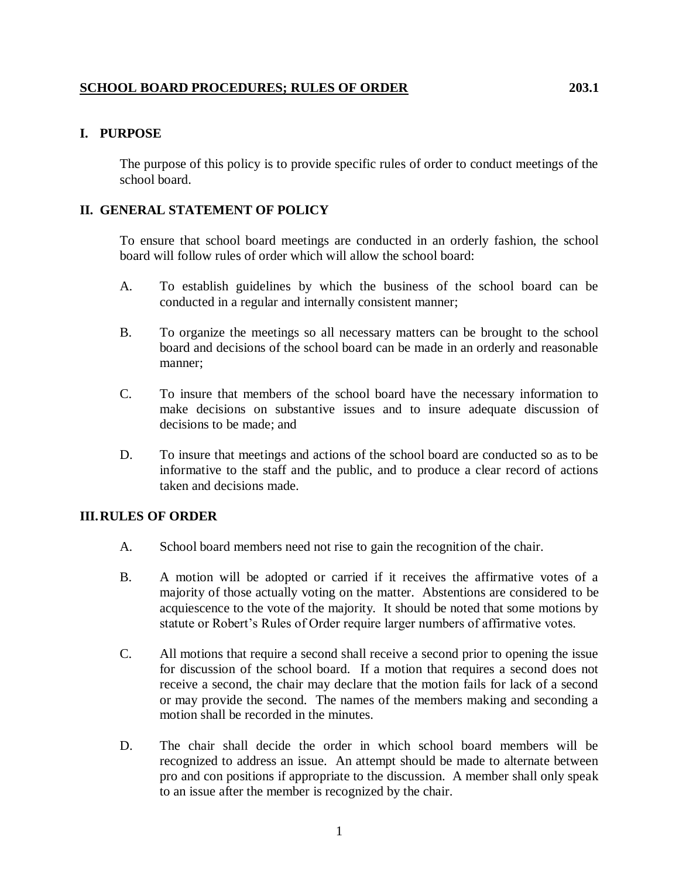#### **SCHOOL BOARD PROCEDURES; RULES OF ORDER 203.1**

### **I. PURPOSE**

The purpose of this policy is to provide specific rules of order to conduct meetings of the school board.

# **II. GENERAL STATEMENT OF POLICY**

To ensure that school board meetings are conducted in an orderly fashion, the school board will follow rules of order which will allow the school board:

- A. To establish guidelines by which the business of the school board can be conducted in a regular and internally consistent manner;
- B. To organize the meetings so all necessary matters can be brought to the school board and decisions of the school board can be made in an orderly and reasonable manner;
- C. To insure that members of the school board have the necessary information to make decisions on substantive issues and to insure adequate discussion of decisions to be made; and
- D. To insure that meetings and actions of the school board are conducted so as to be informative to the staff and the public, and to produce a clear record of actions taken and decisions made.

# **III.RULES OF ORDER**

- A. School board members need not rise to gain the recognition of the chair.
- B. A motion will be adopted or carried if it receives the affirmative votes of a majority of those actually voting on the matter. Abstentions are considered to be acquiescence to the vote of the majority. It should be noted that some motions by statute or Robert's Rules of Order require larger numbers of affirmative votes.
- C. All motions that require a second shall receive a second prior to opening the issue for discussion of the school board. If a motion that requires a second does not receive a second, the chair may declare that the motion fails for lack of a second or may provide the second. The names of the members making and seconding a motion shall be recorded in the minutes.
- D. The chair shall decide the order in which school board members will be recognized to address an issue. An attempt should be made to alternate between pro and con positions if appropriate to the discussion. A member shall only speak to an issue after the member is recognized by the chair.